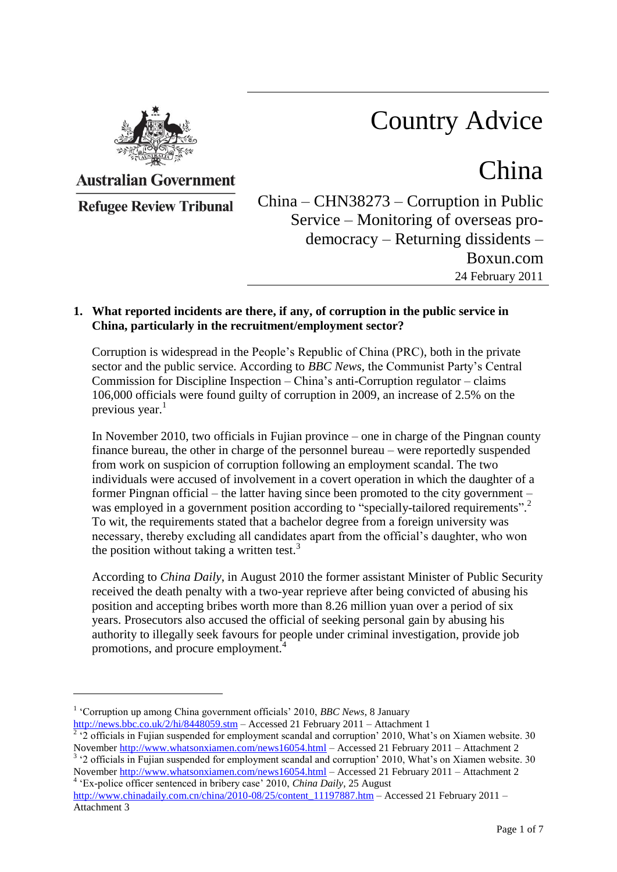# Country Advice



# China

**Refugee Review Tribunal** 

**Australian Government** 

# China – CHN38273 – Corruption in Public Service – Monitoring of overseas prodemocracy – Returning dissidents – Boxun.com 24 February 2011

## **1. What reported incidents are there, if any, of corruption in the public service in China, particularly in the recruitment/employment sector?**

Corruption is widespread in the People"s Republic of China (PRC), both in the private sector and the public service. According to *BBC News*, the Communist Party"s Central Commission for Discipline Inspection – China"s anti-Corruption regulator – claims 106,000 officials were found guilty of corruption in 2009, an increase of 2.5% on the previous year.<sup>1</sup>

In November 2010, two officials in Fujian province – one in charge of the Pingnan county finance bureau, the other in charge of the personnel bureau – were reportedly suspended from work on suspicion of corruption following an employment scandal. The two individuals were accused of involvement in a covert operation in which the daughter of a former Pingnan official – the latter having since been promoted to the city government – was employed in a government position according to "specially-tailored requirements".<sup>2</sup> To wit, the requirements stated that a bachelor degree from a foreign university was necessary, thereby excluding all candidates apart from the official"s daughter, who won the position without taking a written test. $3$ 

According to *China Daily*, in August 2010 the former assistant Minister of Public Security received the death penalty with a two-year reprieve after being convicted of abusing his position and accepting bribes worth more than 8.26 million yuan over a period of six years. Prosecutors also accused the official of seeking personal gain by abusing his authority to illegally seek favours for people under criminal investigation, provide job promotions, and procure employment.<sup>4</sup>

 $\overline{a}$ 

<sup>&</sup>lt;sup>1</sup> 'Corruption up among China government officials' 2010, *BBC News*, 8 January

<http://news.bbc.co.uk/2/hi/8448059.stm> – Accessed 21 February 2011 – Attachment 1

 $2 \cdot 2$  officials in Fujian suspended for employment scandal and corruption' 2010, What's on Xiamen website. 30 November<http://www.whatsonxiamen.com/news16054.html> – Accessed 21 February 2011 – Attachment 2

<sup>&</sup>lt;sup>3</sup> '2 officials in Fujian suspended for employment scandal and corruption' 2010, What's on Xiamen website. 30 November<http://www.whatsonxiamen.com/news16054.html> – Accessed 21 February 2011 – Attachment 2 <sup>4</sup> 'Ex-police officer sentenced in bribery case' 2010, *China Daily*, 25 August

[http://www.chinadaily.com.cn/china/2010-08/25/content\\_11197887.htm](http://www.chinadaily.com.cn/china/2010-08/25/content_11197887.htm) – Accessed 21 February 2011 – Attachment 3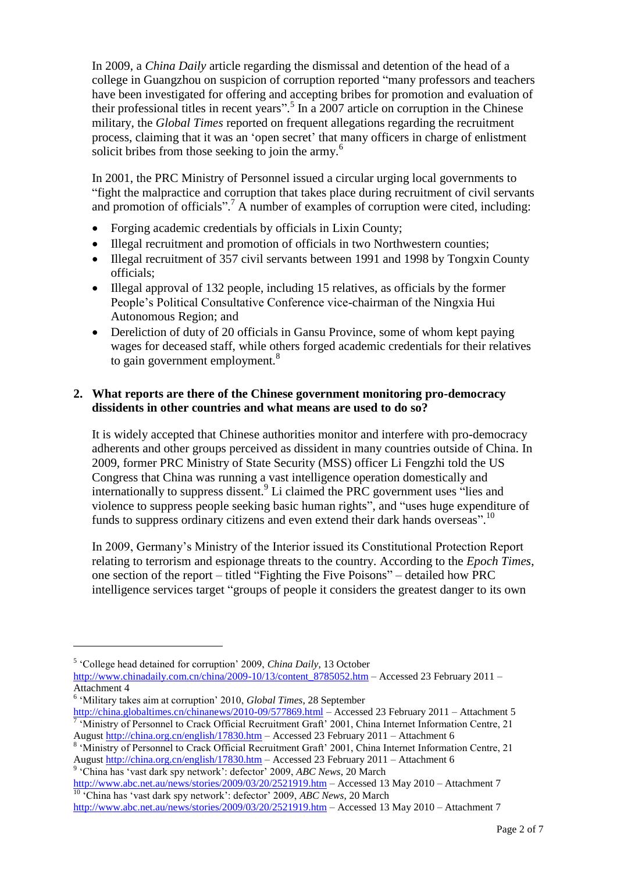In 2009, a *China Daily* article regarding the dismissal and detention of the head of a college in Guangzhou on suspicion of corruption reported "many professors and teachers have been investigated for offering and accepting bribes for promotion and evaluation of their professional titles in recent years". 5 In a 2007 article on corruption in the Chinese military, the *Global Times* reported on frequent allegations regarding the recruitment process, claiming that it was an "open secret" that many officers in charge of enlistment solicit bribes from those seeking to join the army.<sup>6</sup>

In 2001, the PRC Ministry of Personnel issued a circular urging local governments to "fight the malpractice and corruption that takes place during recruitment of civil servants and promotion of officials".<sup>7</sup> A number of examples of corruption were cited, including:

- Forging academic credentials by officials in Lixin County;
- Illegal recruitment and promotion of officials in two Northwestern counties;
- Illegal recruitment of 357 civil servants between 1991 and 1998 by Tongxin County officials;
- Illegal approval of 132 people, including 15 relatives, as officials by the former People"s Political Consultative Conference vice-chairman of the Ningxia Hui Autonomous Region; and
- Dereliction of duty of 20 officials in Gansu Province, some of whom kept paying wages for deceased staff, while others forged academic credentials for their relatives to gain government employment.<sup>8</sup>

### **2. What reports are there of the Chinese government monitoring pro-democracy dissidents in other countries and what means are used to do so?**

It is widely accepted that Chinese authorities monitor and interfere with pro-democracy adherents and other groups perceived as dissident in many countries outside of China. In 2009, former PRC Ministry of State Security (MSS) officer Li Fengzhi told the US Congress that China was running a vast intelligence operation domestically and internationally to suppress dissent.<sup>9</sup> Li claimed the PRC government uses "lies and violence to suppress people seeking basic human rights", and "uses huge expenditure of funds to suppress ordinary citizens and even extend their dark hands overseas".<sup>10</sup>

In 2009, Germany"s Ministry of the Interior issued its Constitutional Protection Report relating to terrorism and espionage threats to the country. According to the *Epoch Times*, one section of the report – titled "Fighting the Five Poisons" – detailed how PRC intelligence services target "groups of people it considers the greatest danger to its own

 $\overline{a}$ 

<http://www.abc.net.au/news/stories/2009/03/20/2521919.htm> – Accessed 13 May 2010 – Attachment 7 <sup>10</sup> 'China has 'vast dark spy network': defector' 2009, *ABC News*, 20 March

<sup>&</sup>lt;sup>5</sup> 'College head detained for corruption' 2009, *China Daily*, 13 October

[http://www.chinadaily.com.cn/china/2009-10/13/content\\_8785052.htm](http://www.chinadaily.com.cn/china/2009-10/13/content_8785052.htm) – Accessed 23 February 2011 – Attachment 4

<sup>6</sup> "Military takes aim at corruption" 2010, *Global Times*, 28 September

<http://china.globaltimes.cn/chinanews/2010-09/577869.html> – Accessed 23 February 2011 – Attachment 5 <sup>7</sup> 'Ministry of Personnel to Crack Official Recruitment Graft' 2001, China Internet Information Centre, 21 August<http://china.org.cn/english/17830.htm> – Accessed 23 February 2011 – Attachment 6

<sup>&</sup>lt;sup>8</sup> 'Ministry of Personnel to Crack Official Recruitment Graft' 2001, China Internet Information Centre, 21 August<http://china.org.cn/english/17830.htm> – Accessed 23 February 2011 – Attachment 6 9 "China has "vast dark spy network": defector" 2009, *ABC News*, 20 March

<http://www.abc.net.au/news/stories/2009/03/20/2521919.htm> – Accessed 13 May 2010 – Attachment 7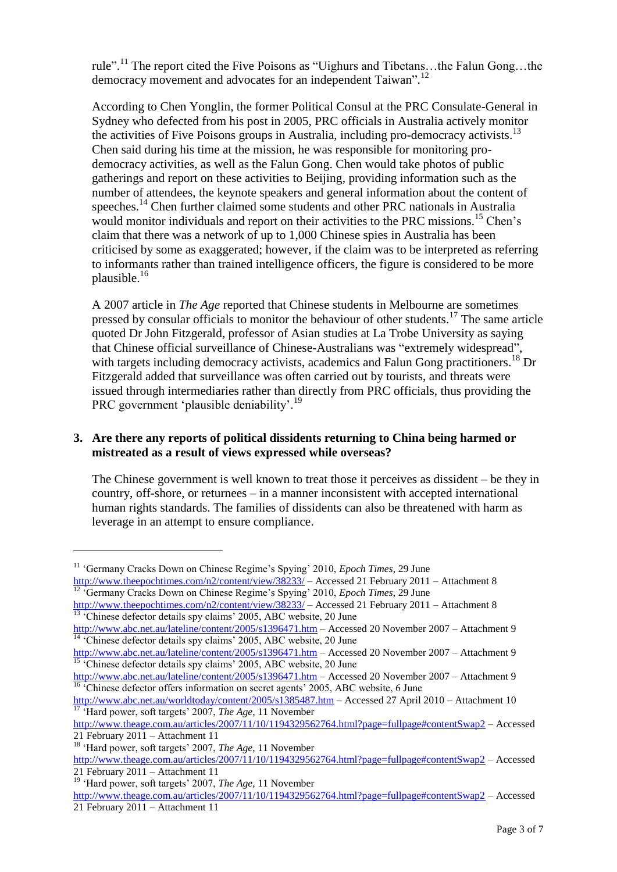rule".<sup>11</sup> The report cited the Five Poisons as "Uighurs and Tibetans...the Falun Gong...the democracy movement and advocates for an independent Taiwan".<sup>12</sup>

According to Chen Yonglin, the former Political Consul at the PRC Consulate-General in Sydney who defected from his post in 2005, PRC officials in Australia actively monitor the activities of Five Poisons groups in Australia, including pro-democracy activists. $^{13}$ Chen said during his time at the mission, he was responsible for monitoring prodemocracy activities, as well as the Falun Gong. Chen would take photos of public gatherings and report on these activities to Beijing, providing information such as the number of attendees, the keynote speakers and general information about the content of speeches.<sup>14</sup> Chen further claimed some students and other PRC nationals in Australia would monitor individuals and report on their activities to the PRC missions.<sup>15</sup> Chen's claim that there was a network of up to 1,000 Chinese spies in Australia has been criticised by some as exaggerated; however, if the claim was to be interpreted as referring to informants rather than trained intelligence officers, the figure is considered to be more plausible.<sup>16</sup>

A 2007 article in *The Age* reported that Chinese students in Melbourne are sometimes pressed by consular officials to monitor the behaviour of other students.<sup>17</sup> The same article quoted Dr John Fitzgerald, professor of Asian studies at La Trobe University as saying that Chinese official surveillance of Chinese-Australians was "extremely widespread", with targets including democracy activists, academics and Falun Gong practitioners.<sup>18</sup> Dr Fitzgerald added that surveillance was often carried out by tourists, and threats were issued through intermediaries rather than directly from PRC officials, thus providing the PRC government 'plausible deniability'.<sup>19</sup>

#### **3. Are there any reports of political dissidents returning to China being harmed or mistreated as a result of views expressed while overseas?**

The Chinese government is well known to treat those it perceives as dissident – be they in country, off-shore, or returnees – in a manner inconsistent with accepted international human rights standards. The families of dissidents can also be threatened with harm as leverage in an attempt to ensure compliance.

 $\overline{a}$ 

<sup>&</sup>lt;sup>11</sup> 'Germany Cracks Down on Chinese Regime's Spying' 2010, *Epoch Times*, 29 June

<http://www.theepochtimes.com/n2/content/view/38233/> – Accessed 21 February 2011 – Attachment 8 <sup>12</sup> Germany Cracks Down on Chinese Regime's Spying' 2010, *Epoch Times*, 29 June

<http://www.theepochtimes.com/n2/content/view/38233/> – Accessed 21 February 2011 – Attachment 8 <sup>13</sup> Chinese defector details spy claims' 2005, ABC website, 20 June

<http://www.abc.net.au/lateline/content/2005/s1396471.htm> – Accessed 20 November 2007 – Attachment 9  $\frac{14}{14}$  Chinese defector details spy claims' 2005, ABC website, 20 June

<http://www.abc.net.au/lateline/content/2005/s1396471.htm> – Accessed 20 November 2007 – Attachment 9 <sup>5</sup> Chinese defector details spy claims' 2005, ABC website, 20 June

<http://www.abc.net.au/lateline/content/2005/s1396471.htm> – Accessed 20 November 2007 – Attachment 9  $\frac{16}{16}$  Chinese defector offers information on secret agents' 2005, ABC website, 6 June

<http://www.abc.net.au/worldtoday/content/2005/s1385487.htm> – Accessed 27 April 2010 – Attachment 10 <sup>17</sup> 'Hard power, soft targets' 2007, *The Age*, 11 November

<http://www.theage.com.au/articles/2007/11/10/1194329562764.html?page=fullpage#contentSwap2> – Accessed 21 February 2011 – Attachment 11

<sup>&</sup>lt;sup>18</sup> 'Hard power, soft targets' 2007, *The Age*, 11 November

<http://www.theage.com.au/articles/2007/11/10/1194329562764.html?page=fullpage#contentSwap2> – Accessed 21 February 2011 – Attachment 11

<sup>19</sup> "Hard power, soft targets" 2007, *The Age*, 11 November

<http://www.theage.com.au/articles/2007/11/10/1194329562764.html?page=fullpage#contentSwap2> – Accessed 21 February 2011 – Attachment 11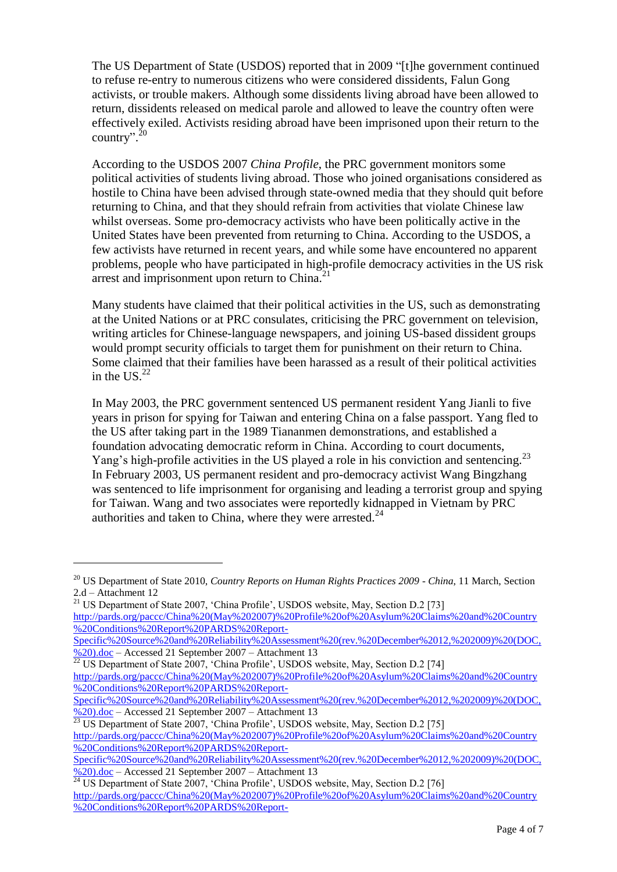The US Department of State (USDOS) reported that in 2009 "[t]he government continued to refuse re-entry to numerous citizens who were considered dissidents, Falun Gong activists, or trouble makers. Although some dissidents living abroad have been allowed to return, dissidents released on medical parole and allowed to leave the country often were effectively exiled. Activists residing abroad have been imprisoned upon their return to the country". 20

According to the USDOS 2007 *China Profile*, the PRC government monitors some political activities of students living abroad. Those who joined organisations considered as hostile to China have been advised through state-owned media that they should quit before returning to China, and that they should refrain from activities that violate Chinese law whilst overseas. Some pro-democracy activists who have been politically active in the United States have been prevented from returning to China. According to the USDOS, a few activists have returned in recent years, and while some have encountered no apparent problems, people who have participated in high-profile democracy activities in the US risk arrest and imprisonment upon return to China. $^{21}$ 

Many students have claimed that their political activities in the US, such as demonstrating at the United Nations or at PRC consulates, criticising the PRC government on television, writing articles for Chinese-language newspapers, and joining US-based dissident groups would prompt security officials to target them for punishment on their return to China. Some claimed that their families have been harassed as a result of their political activities in the US. $^{22}$ 

In May 2003, the PRC government sentenced US permanent resident Yang Jianli to five years in prison for spying for Taiwan and entering China on a false passport. Yang fled to the US after taking part in the 1989 Tiananmen demonstrations, and established a foundation advocating democratic reform in China. According to court documents, Yang's high-profile activities in the US played a role in his conviction and sentencing.<sup>23</sup> In February 2003, US permanent resident and pro-democracy activist Wang Bingzhang was sentenced to life imprisonment for organising and leading a terrorist group and spying for Taiwan. Wang and two associates were reportedly kidnapped in Vietnam by PRC authorities and taken to China, where they were arrested. $^{24}$ 

 $\overline{a}$ 

[http://pards.org/paccc/China%20\(May%202007\)%20Profile%20of%20Asylum%20Claims%20and%20Country](http://pards.org/paccc/China%20(May%202007)%20Profile%20of%20Asylum%20Claims%20and%20Country%20Conditions%20Report%20PARDS%20Report-Specific%20Source%20and%20Reliability%20Assessment%20(rev.%20December%2012,%202009)%20(DOC,%20).doc) [%20Conditions%20Report%20PARDS%20Report-](http://pards.org/paccc/China%20(May%202007)%20Profile%20of%20Asylum%20Claims%20and%20Country%20Conditions%20Report%20PARDS%20Report-Specific%20Source%20and%20Reliability%20Assessment%20(rev.%20December%2012,%202009)%20(DOC,%20).doc)

[Specific%20Source%20and%20Reliability%20Assessment%20\(rev.%20December%2012,%202009\)%20\(DOC,](http://pards.org/paccc/China%20(May%202007)%20Profile%20of%20Asylum%20Claims%20and%20Country%20Conditions%20Report%20PARDS%20Report-Specific%20Source%20and%20Reliability%20Assessment%20(rev.%20December%2012,%202009)%20(DOC,%20).doc) [%20\).doc](http://pards.org/paccc/China%20(May%202007)%20Profile%20of%20Asylum%20Claims%20and%20Country%20Conditions%20Report%20PARDS%20Report-Specific%20Source%20and%20Reliability%20Assessment%20(rev.%20December%2012,%202009)%20(DOC,%20).doc) – Accessed 21 September 2007 – Attachment 13

 $\frac{22}{22}$  US Department of State 2007, 'China Profile', USDOS website, May, Section D.2 [74] [http://pards.org/paccc/China%20\(May%202007\)%20Profile%20of%20Asylum%20Claims%20and%20Country](http://pards.org/paccc/China%20(May%202007)%20Profile%20of%20Asylum%20Claims%20and%20Country%20Conditions%20Report%20PARDS%20Report-Specific%20Source%20and%20Reliability%20Assessment%20(rev.%20December%2012,%202009)%20(DOC,%20).doc) [%20Conditions%20Report%20PARDS%20Report-](http://pards.org/paccc/China%20(May%202007)%20Profile%20of%20Asylum%20Claims%20and%20Country%20Conditions%20Report%20PARDS%20Report-Specific%20Source%20and%20Reliability%20Assessment%20(rev.%20December%2012,%202009)%20(DOC,%20).doc)

[Specific%20Source%20and%20Reliability%20Assessment%20\(rev.%20December%2012,%202009\)%20\(DOC,](http://pards.org/paccc/China%20(May%202007)%20Profile%20of%20Asylum%20Claims%20and%20Country%20Conditions%20Report%20PARDS%20Report-Specific%20Source%20and%20Reliability%20Assessment%20(rev.%20December%2012,%202009)%20(DOC,%20).doc) [%20\).doc](http://pards.org/paccc/China%20(May%202007)%20Profile%20of%20Asylum%20Claims%20and%20Country%20Conditions%20Report%20PARDS%20Report-Specific%20Source%20and%20Reliability%20Assessment%20(rev.%20December%2012,%202009)%20(DOC,%20).doc) – Accessed 21 September 2007 – Attachment 13

<sup>23</sup> US Department of State 2007, 'China Profile', USDOS website, May, Section D.2 [75] [http://pards.org/paccc/China%20\(May%202007\)%20Profile%20of%20Asylum%20Claims%20and%20Country](http://pards.org/paccc/China%20(May%202007)%20Profile%20of%20Asylum%20Claims%20and%20Country%20Conditions%20Report%20PARDS%20Report-Specific%20Source%20and%20Reliability%20Assessment%20(rev.%20December%2012,%202009)%20(DOC,%20).doc) [%20Conditions%20Report%20PARDS%20Report-](http://pards.org/paccc/China%20(May%202007)%20Profile%20of%20Asylum%20Claims%20and%20Country%20Conditions%20Report%20PARDS%20Report-Specific%20Source%20and%20Reliability%20Assessment%20(rev.%20December%2012,%202009)%20(DOC,%20).doc)

<sup>20</sup> US Department of State 2010, *Country Reports on Human Rights Practices 2009 - China*, 11 March, Section 2.d – Attachment 12

<sup>&</sup>lt;sup>21</sup> US Department of State 2007, 'China Profile', USDOS website, May, Section D.2 [73]

[Specific%20Source%20and%20Reliability%20Assessment%20\(rev.%20December%2012,%202009\)%20\(DOC,](http://pards.org/paccc/China%20(May%202007)%20Profile%20of%20Asylum%20Claims%20and%20Country%20Conditions%20Report%20PARDS%20Report-Specific%20Source%20and%20Reliability%20Assessment%20(rev.%20December%2012,%202009)%20(DOC,%20).doc) [%20\).doc](http://pards.org/paccc/China%20(May%202007)%20Profile%20of%20Asylum%20Claims%20and%20Country%20Conditions%20Report%20PARDS%20Report-Specific%20Source%20and%20Reliability%20Assessment%20(rev.%20December%2012,%202009)%20(DOC,%20).doc) – Accessed 21 September 2007 – Attachment 13

 $\frac{24}{24}$  US Department of State 2007, 'China Profile', USDOS website, May, Section D.2 [76] [http://pards.org/paccc/China%20\(May%202007\)%20Profile%20of%20Asylum%20Claims%20and%20Country](http://pards.org/paccc/China%20(May%202007)%20Profile%20of%20Asylum%20Claims%20and%20Country%20Conditions%20Report%20PARDS%20Report-Specific%20Source%20and%20Reliability%20Assessment%20(rev.%20December%2012,%202009)%20(DOC,%20).doc) [%20Conditions%20Report%20PARDS%20Report-](http://pards.org/paccc/China%20(May%202007)%20Profile%20of%20Asylum%20Claims%20and%20Country%20Conditions%20Report%20PARDS%20Report-Specific%20Source%20and%20Reliability%20Assessment%20(rev.%20December%2012,%202009)%20(DOC,%20).doc)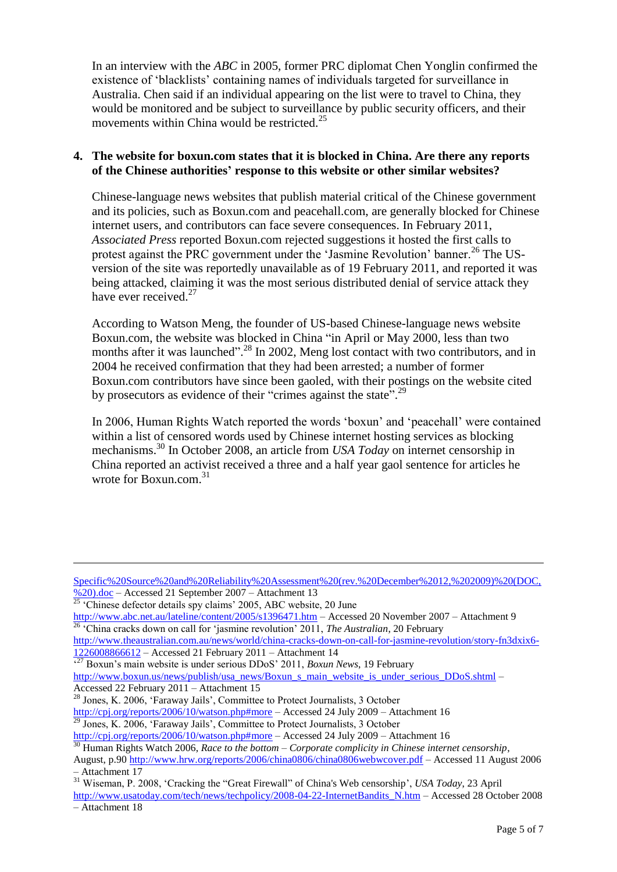In an interview with the *ABC* in 2005, former PRC diplomat Chen Yonglin confirmed the existence of "blacklists" containing names of individuals targeted for surveillance in Australia. Chen said if an individual appearing on the list were to travel to China, they would be monitored and be subject to surveillance by public security officers, and their movements within China would be restricted.<sup>25</sup>

### **4. The website for boxun.com states that it is blocked in China. Are there any reports of the Chinese authorities' response to this website or other similar websites?**

Chinese-language news websites that publish material critical of the Chinese government and its policies, such as Boxun.com and peacehall.com, are generally blocked for Chinese internet users, and contributors can face severe consequences. In February 2011, *Associated Press* reported Boxun.com rejected suggestions it hosted the first calls to protest against the PRC government under the 'Jasmine Revolution' banner.<sup>26</sup> The USversion of the site was reportedly unavailable as of 19 February 2011, and reported it was being attacked, claiming it was the most serious distributed denial of service attack they have ever received.<sup>27</sup>

According to Watson Meng, the founder of US-based Chinese-language news website Boxun.com, the website was blocked in China "in April or May 2000, less than two months after it was launched".<sup>28</sup> In 2002, Meng lost contact with two contributors, and in 2004 he received confirmation that they had been arrested; a number of former Boxun.com contributors have since been gaoled, with their postings on the website cited by prosecutors as evidence of their "crimes against the state".<sup>29</sup>

In 2006, Human Rights Watch reported the words "boxun" and "peacehall" were contained within a list of censored words used by Chinese internet hosting services as blocking mechanisms.<sup>30</sup> In October 2008, an article from *USA Today* on internet censorship in China reported an activist received a three and a half year gaol sentence for articles he wrote for Boxun.com. 31

 $\overline{a}$ 

[Specific%20Source%20and%20Reliability%20Assessment%20\(rev.%20December%2012,%202009\)%20\(DOC,](http://pards.org/paccc/China%20(May%202007)%20Profile%20of%20Asylum%20Claims%20and%20Country%20Conditions%20Report%20PARDS%20Report-Specific%20Source%20and%20Reliability%20Assessment%20(rev.%20December%2012,%202009)%20(DOC,%20).doc) [%20\).doc](http://pards.org/paccc/China%20(May%202007)%20Profile%20of%20Asylum%20Claims%20and%20Country%20Conditions%20Report%20PARDS%20Report-Specific%20Source%20and%20Reliability%20Assessment%20(rev.%20December%2012,%202009)%20(DOC,%20).doc) – Accessed 21 September 2007 – Attachment 13

 $\frac{25}{25}$  Chinese defector details spy claims' 2005, ABC website, 20 June

<http://www.abc.net.au/lateline/content/2005/s1396471.htm> – Accessed 20 November 2007 – Attachment 9 <sup>26</sup> "China cracks down on call for "jasmine revolution" 2011, *The Australian*, 20 February

[http://www.theaustralian.com.au/news/world/china-cracks-down-on-call-for-jasmine-revolution/story-fn3dxix6-](http://www.theaustralian.com.au/news/world/china-cracks-down-on-call-for-jasmine-revolution/story-fn3dxix6-1226008866612) [1226008866612](http://www.theaustralian.com.au/news/world/china-cracks-down-on-call-for-jasmine-revolution/story-fn3dxix6-1226008866612) – Accessed 21 February 2011 – Attachment 14

<sup>&</sup>lt;sup>27</sup> Boxun's main website is under serious DDoS' 2011, *Boxun News*, 19 February [http://www.boxun.us/news/publish/usa\\_news/Boxun\\_s\\_main\\_website\\_is\\_under\\_serious\\_DDoS.shtml](http://www.boxun.us/news/publish/usa_news/Boxun_s_main_website_is_under_serious_DDoS.shtml) – Accessed 22 February 2011 – Attachment 15

<sup>&</sup>lt;sup>28</sup> Jones, K. 2006, 'Faraway Jails', Committee to Protect Journalists, 3 October

<http://cpj.org/reports/2006/10/watson.php#more> – Accessed 24 July 2009 – Attachment 16 <sup>29</sup> Jones, K. 2006, 'Faraway Jails', Committee to Protect Journalists, 3 October

<http://cpj.org/reports/2006/10/watson.php#more> – Accessed 24 July 2009 – Attachment 16

<sup>30</sup> Human Rights Watch 2006, *Race to the bottom – Corporate complicity in Chinese internet censorship*,

August, p.90<http://www.hrw.org/reports/2006/china0806/china0806webwcover.pdf> – Accessed 11 August 2006 – Attachment 17

<sup>&</sup>lt;sup>31</sup> Wiseman, P. 2008, 'Cracking the "Great Firewall" of China's Web censorship', *USA Today*, 23 April

[http://www.usatoday.com/tech/news/techpolicy/2008-04-22-InternetBandits\\_N.htm](http://www.usatoday.com/tech/news/techpolicy/2008-04-22-InternetBandits_N.htm) – Accessed 28 October 2008 – Attachment 18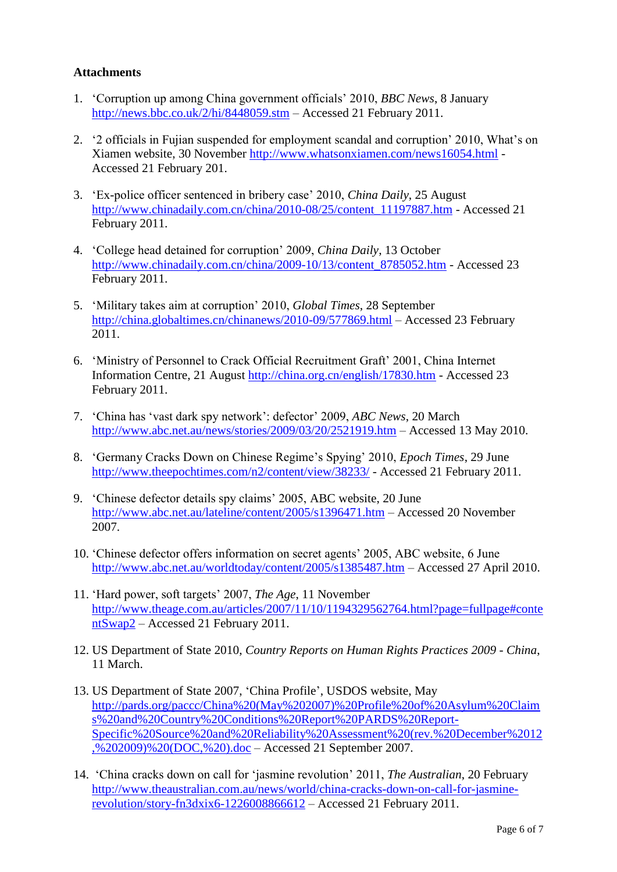### **Attachments**

- 1. "Corruption up among China government officials" 2010, *BBC News*, 8 January <http://news.bbc.co.uk/2/hi/8448059.stm> – Accessed 21 February 2011.
- 2. "2 officials in Fujian suspended for employment scandal and corruption" 2010, What"s on Xiamen website, 30 November<http://www.whatsonxiamen.com/news16054.html> - Accessed 21 February 201.
- 3. "Ex-police officer sentenced in bribery case" 2010, *China Daily*, 25 August [http://www.chinadaily.com.cn/china/2010-08/25/content\\_11197887.htm](http://www.chinadaily.com.cn/china/2010-08/25/content_11197887.htm) - Accessed 21 February 2011.
- 4. "College head detained for corruption" 2009, *China Daily*, 13 October [http://www.chinadaily.com.cn/china/2009-10/13/content\\_8785052.htm](http://www.chinadaily.com.cn/china/2009-10/13/content_8785052.htm) - Accessed 23 February 2011.
- 5. "Military takes aim at corruption" 2010, *Global Times*, 28 September <http://china.globaltimes.cn/chinanews/2010-09/577869.html> – Accessed 23 February 2011.
- 6. "Ministry of Personnel to Crack Official Recruitment Graft" 2001, China Internet Information Centre, 21 August<http://china.org.cn/english/17830.htm> - Accessed 23 February 2011.
- 7. "China has "vast dark spy network": defector" 2009, *ABC News*, 20 March <http://www.abc.net.au/news/stories/2009/03/20/2521919.htm> – Accessed 13 May 2010.
- 8. "Germany Cracks Down on Chinese Regime"s Spying" 2010, *Epoch Times*, 29 June <http://www.theepochtimes.com/n2/content/view/38233/> - Accessed 21 February 2011.
- 9. "Chinese defector details spy claims" 2005, ABC website, 20 June <http://www.abc.net.au/lateline/content/2005/s1396471.htm> – Accessed 20 November 2007.
- 10. "Chinese defector offers information on secret agents" 2005, ABC website, 6 June <http://www.abc.net.au/worldtoday/content/2005/s1385487.htm> – Accessed 27 April 2010.
- 11. "Hard power, soft targets" 2007, *The Age*, 11 November [http://www.theage.com.au/articles/2007/11/10/1194329562764.html?page=fullpage#conte](http://www.theage.com.au/articles/2007/11/10/1194329562764.html?page=fullpage#contentSwap2) [ntSwap2](http://www.theage.com.au/articles/2007/11/10/1194329562764.html?page=fullpage#contentSwap2) – Accessed 21 February 2011.
- 12. US Department of State 2010, *Country Reports on Human Rights Practices 2009 - China*, 11 March.
- 13. US Department of State 2007, "China Profile", USDOS website, May [http://pards.org/paccc/China%20\(May%202007\)%20Profile%20of%20Asylum%20Claim](http://pards.org/paccc/China%20(May%202007)%20Profile%20of%20Asylum%20Claims%20and%20Country%20Conditions%20Report%20PARDS%20Report-Specific%20Source%20and%20Reliability%20Assessment%20(rev.%20December%2012,%202009)%20(DOC,%20).doc) [s%20and%20Country%20Conditions%20Report%20PARDS%20Report-](http://pards.org/paccc/China%20(May%202007)%20Profile%20of%20Asylum%20Claims%20and%20Country%20Conditions%20Report%20PARDS%20Report-Specific%20Source%20and%20Reliability%20Assessment%20(rev.%20December%2012,%202009)%20(DOC,%20).doc)[Specific%20Source%20and%20Reliability%20Assessment%20\(rev.%20December%2012](http://pards.org/paccc/China%20(May%202007)%20Profile%20of%20Asylum%20Claims%20and%20Country%20Conditions%20Report%20PARDS%20Report-Specific%20Source%20and%20Reliability%20Assessment%20(rev.%20December%2012,%202009)%20(DOC,%20).doc) [,%202009\)%20\(DOC,%20\).doc](http://pards.org/paccc/China%20(May%202007)%20Profile%20of%20Asylum%20Claims%20and%20Country%20Conditions%20Report%20PARDS%20Report-Specific%20Source%20and%20Reliability%20Assessment%20(rev.%20December%2012,%202009)%20(DOC,%20).doc) – Accessed 21 September 2007.
- 14. "China cracks down on call for "jasmine revolution" 2011, *The Australian*, 20 February [http://www.theaustralian.com.au/news/world/china-cracks-down-on-call-for-jasmine](http://www.theaustralian.com.au/news/world/china-cracks-down-on-call-for-jasmine-revolution/story-fn3dxix6-1226008866612)[revolution/story-fn3dxix6-1226008866612](http://www.theaustralian.com.au/news/world/china-cracks-down-on-call-for-jasmine-revolution/story-fn3dxix6-1226008866612) – Accessed 21 February 2011.